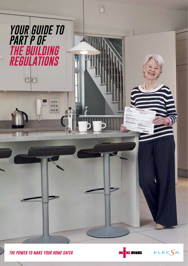

*the power to make your home safer*



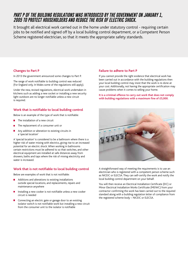# *Part P of the building regulations was introduced by the government on January 1, 2005 to protect householders and reduce the risk of electric shock.*

It brought all electrical work carried out in the home under statutory control - requiring certain jobs to be notified and signed off by a local building control department, or a Competent Person Scheme registered electrician, so that it meets the appropriate safety standards.

#### **Changes to Part P**

In 2013 the government announced some changes to Part P.

The range of work notifiable to building control was reduced (For England only. In Wales some of the regulations still apply).

Under the new, revised regulations, electrical work undertaken in kitchens such as adding a new socket or installing a new security light outdoors are no longer notifiable unless a new circuit is required.

#### **Work that is notifiable to local building control**

Below is an example of the type of work that is notifiable:

- The installation of a new circuit
- The replacement of a consumer unit or п
- Any addition or alteration to existing circuits in г a 'special location'

A 'special location' is considered to be a bathroom where there is a higher risk of water mixing with electrics, giving rise to an increased potential for an electric shock. When working in bathrooms certain restrictions must be adhered to so that switches, and other electrical equipment are installed at safe distances away from showers, baths and taps where the risk of mixing electricity and water is increased.

#### **Work that is not notifiable to local building control**

Below are examples of work that is not notifiable:

- П Additions and alterations to existing installations outside special locations, and replacements, repairs and maintenance anywhere
- Installing a new cooker is not notifiable unless a new cooker circuit is needed
- Connecting an electric gate or garage door to an existing isolator switch is not notifiable work but installing a new circuit from the consumer unit to the isolator is notifiable

#### **Failure to adhere to Part P**

If you cannot provide the right evidence that electrical work has been carried out in accordance with the building regulations then your local building control may insist that the work is re-done at your cost. Additionally, not having the appropriate certification may cause problems when it comes to selling your home.

**It is a criminal offence to carry out work that does not comply with building regulations with a maximum fine of £5,000.**



A straightforward way of meeting the requirements is to use an electrician who is registered with a competent person scheme such as NICEIC or ELECSA. They can self-certify the work and notify the local building control department on your behalf.

You will then receive an Electrical Installation Certificate (EIC) or Minor Electrical Installation Works Certificate (MEIWC) from your contractor confirming the work has been carried out to the required standard along with a building regulation letter of compliance from the registered scheme body – NICEIC or ELECSA.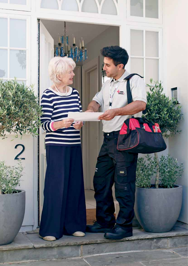